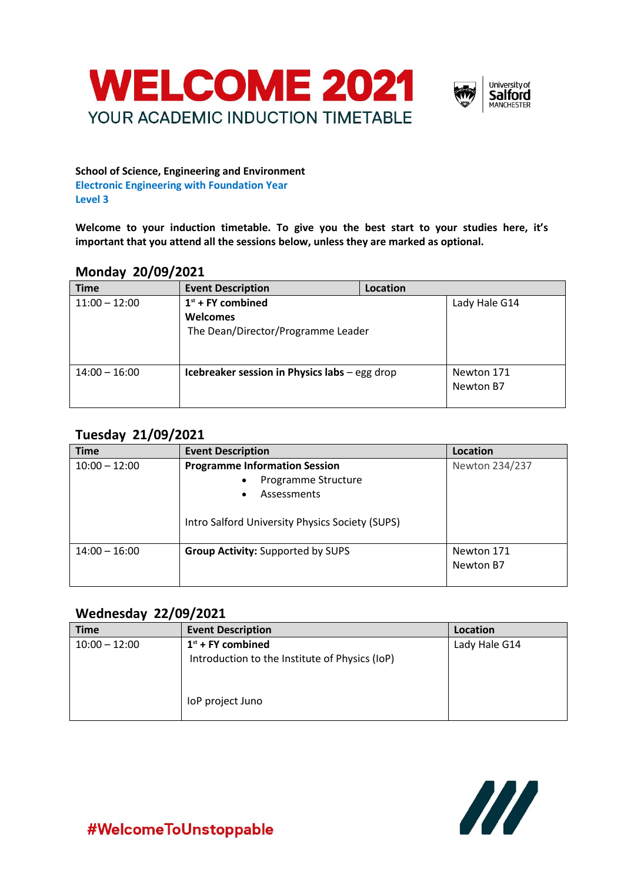



#### **School of Science, Engineering and Environment Electronic Engineering with Foundation Year Level 3**

**Welcome to your induction timetable. To give you the best start to your studies here, it's important that you attend all the sessions below, unless they are marked as optional.**

### **Monday 20/09/2021**

| <b>Time</b>     | <b>Event Description</b>                      | Location |               |
|-----------------|-----------------------------------------------|----------|---------------|
| $11:00 - 12:00$ | $1st$ + FY combined                           |          | Lady Hale G14 |
|                 | <b>Welcomes</b>                               |          |               |
|                 | The Dean/Director/Programme Leader            |          |               |
|                 |                                               |          |               |
|                 |                                               |          |               |
| $14:00 - 16:00$ | Icebreaker session in Physics labs - egg drop |          | Newton 171    |
|                 |                                               |          | Newton B7     |
|                 |                                               |          |               |

## **Tuesday 21/09/2021**

| <b>Time</b>     | <b>Event Description</b>                        | Location       |
|-----------------|-------------------------------------------------|----------------|
| $10:00 - 12:00$ | <b>Programme Information Session</b>            | Newton 234/237 |
|                 | Programme Structure<br>$\bullet$                |                |
|                 | Assessments<br>٠                                |                |
|                 | Intro Salford University Physics Society (SUPS) |                |
| $14:00 - 16:00$ | <b>Group Activity: Supported by SUPS</b>        | Newton 171     |
|                 |                                                 | Newton B7      |
|                 |                                                 |                |

#### **Wednesday 22/09/2021**

| <b>Time</b>     | <b>Event Description</b>                       | Location      |
|-----------------|------------------------------------------------|---------------|
| $10:00 - 12:00$ | $1st$ + FY combined                            | Lady Hale G14 |
|                 | Introduction to the Institute of Physics (IoP) |               |
|                 |                                                |               |
|                 | loP project Juno                               |               |



#WelcomeToUnstoppable